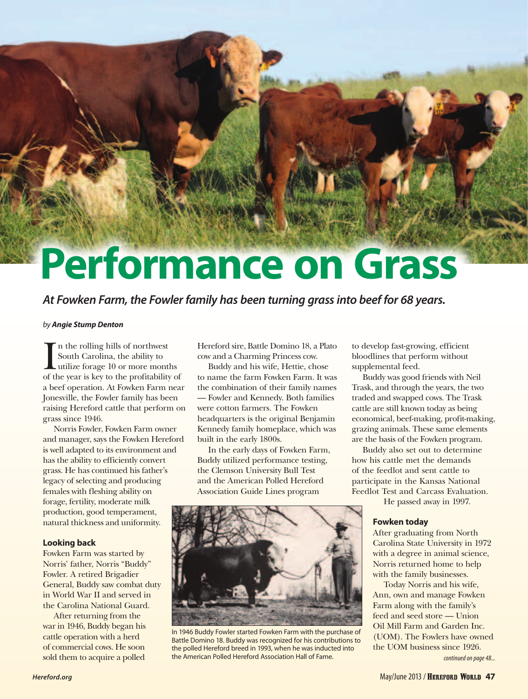# **Performance on Grass**

*At Fowken Farm, the Fowler family has been turning grass into beef for 68 years.*

#### *by Angie Stump Denton*

In the rolling hills of northwest<br>South Carolina, the ability to<br>utilize forage 10 or more months<br>of the year is key to the profitability of n the rolling hills of northwest South Carolina, the ability to utilize forage 10 or more months a beef operation. At Fowken Farm near Jonesville, the Fowler family has been raising Hereford cattle that perform on grass since 1946.

Norris Fowler, Fowken Farm owner and manager, says the Fowken Hereford is well adapted to its environment and has the ability to efficiently convert grass. He has continued his father's legacy of selecting and producing females with fleshing ability on forage, fertility, moderate milk production, good temperament, natural thickness and uniformity.

#### **Looking back**

Fowken Farm was started by Norris' father, Norris "Buddy" Fowler. A retired Brigadier General, Buddy saw combat duty in World War II and served in the Carolina National Guard.

After returning from the war in 1946, Buddy began his cattle operation with a herd of commercial cows. He soon sold them to acquire a polled

Hereford sire, Battle Domino 18, a Plato cow and a Charming Princess cow.

Buddy and his wife, Hettie, chose to name the farm Fowken Farm. It was the combination of their family names — Fowler and Kennedy. Both families were cotton farmers. The Fowken headquarters is the original Benjamin Kennedy family homeplace, which was built in the early 1800s.

In the early days of Fowken Farm, Buddy utilized performance testing, the Clemson University Bull Test and the American Polled Hereford Association Guide Lines program



In 1946 Buddy Fowler started Fowken Farm with the purchase of Battle Domino 18. Buddy was recognized for his contributions to the polled Hereford breed in 1993, when he was inducted into the American Polled Hereford Association Hall of Fame.

to develop fast-growing, efficient bloodlines that perform without supplemental feed.

Buddy was good friends with Neil Trask, and through the years, the two traded and swapped cows. The Trask cattle are still known today as being economical, beef-making, profit-making, grazing animals. These same elements are the basis of the Fowken program.

Buddy also set out to determine how his cattle met the demands of the feedlot and sent cattle to participate in the Kansas National Feedlot Test and Carcass Evaluation.

He passed away in 1997.

#### **Fowken today**

After graduating from North Carolina State University in 1972 with a degree in animal science, Norris returned home to help with the family businesses.

Today Norris and his wife, Ann, own and manage Fowken Farm along with the family's feed and seed store — Union Oil Mill Farm and Garden Inc. (UOM). The Fowlers have owned the UOM business since 1926.

*continued on page 48...*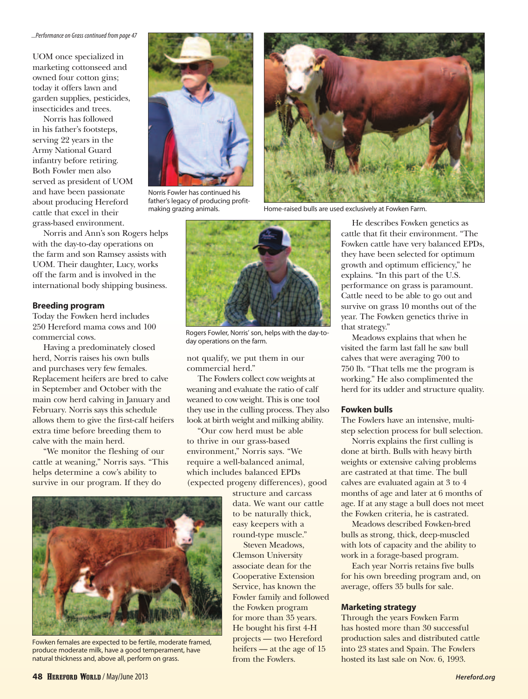UOM once specialized in marketing cottonseed and owned four cotton gins; today it offers lawn and garden supplies, pesticides, insecticides and trees.

Norris has followed in his father's footsteps, serving 22 years in the Army National Guard infantry before retiring. Both Fowler men also served as president of UOM and have been passionate about producing Hereford cattle that excel in their grass-based environment.

Norris and Ann's son Rogers helps with the day-to-day operations on the farm and son Ramsey assists with UOM. Their daughter, Lucy, works off the farm and is involved in the international body shipping business.

#### **Breeding program**

Today the Fowken herd includes 250 Hereford mama cows and 100 commercial cows.

Having a predominately closed herd, Norris raises his own bulls and purchases very few females. Replacement heifers are bred to calve in September and October with the main cow herd calving in January and February. Norris says this schedule allows them to give the first-calf heifers extra time before breeding them to calve with the main herd.

"We monitor the fleshing of our cattle at weaning," Norris says. "This helps determine a cow's ability to survive in our program. If they do



Norris Fowler has continued his father's legacy of producing profitmaking grazing animals.



Rogers Fowler, Norris' son, helps with the day-today operations on the farm.

not qualify, we put them in our commercial herd."

The Fowlers collect cow weights at weaning and evaluate the ratio of calf weaned to cow weight. This is one tool they use in the culling process. They also look at birth weight and milking ability.

"Our cow herd must be able to thrive in our grass-based environment," Norris says. "We require a well-balanced animal, which includes balanced EPDs (expected progeny differences), good

structure and carcass data. We want our cattle to be naturally thick, easy keepers with a round-type muscle."

Steven Meadows, Clemson University associate dean for the Cooperative Extension Service, has known the Fowler family and followed the Fowken program for more than 35 years. He bought his first 4-H projects — two Hereford heifers — at the age of 15 from the Fowlers.



Home-raised bulls are used exclusively at Fowken Farm.

He describes Fowken genetics as cattle that fit their environment. "The Fowken cattle have very balanced EPDs, they have been selected for optimum growth and optimum efficiency," he explains. "In this part of the U.S. performance on grass is paramount. Cattle need to be able to go out and survive on grass 10 months out of the year. The Fowken genetics thrive in that strategy."

Meadows explains that when he visited the farm last fall he saw bull calves that were averaging 700 to 750 lb. "That tells me the program is working." He also complimented the herd for its udder and structure quality.

#### **Fowken bulls**

The Fowlers have an intensive, multistep selection process for bull selection.

Norris explains the first culling is done at birth. Bulls with heavy birth weights or extensive calving problems are castrated at that time. The bull calves are evaluated again at 3 to 4 months of age and later at 6 months of age. If at any stage a bull does not meet the Fowken criteria, he is castrated.

Meadows described Fowken-bred bulls as strong, thick, deep-muscled with lots of capacity and the ability to work in a forage-based program.

Each year Norris retains five bulls for his own breeding program and, on average, offers 35 bulls for sale.

#### **Marketing strategy**

Through the years Fowken Farm has hosted more than 30 successful production sales and distributed cattle into 23 states and Spain. The Fowlers hosted its last sale on Nov. 6, 1993.



Fowken females are expected to be fertile, moderate framed, produce moderate milk, have a good temperament, have natural thickness and, above all, perform on grass.